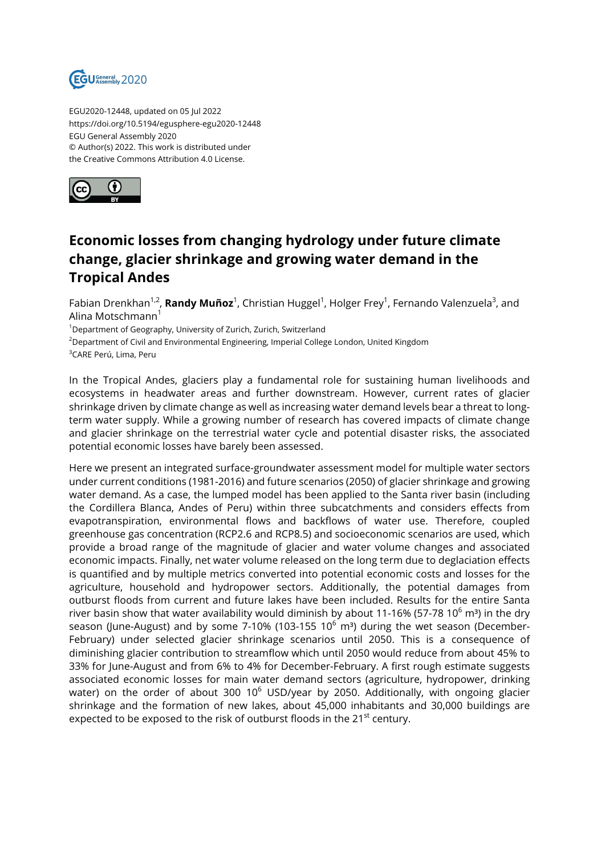

EGU2020-12448, updated on 05 Jul 2022 https://doi.org/10.5194/egusphere-egu2020-12448 EGU General Assembly 2020 © Author(s) 2022. This work is distributed under the Creative Commons Attribution 4.0 License.



## **Economic losses from changing hydrology under future climate change, glacier shrinkage and growing water demand in the Tropical Andes**

Fabian Drenkhan<sup>1,2</sup>, **Randy Muñoz**<sup>1</sup>, Christian Huggel<sup>1</sup>, Holger Frey<sup>1</sup>, Fernando Valenzuela<sup>3</sup>, and Alina Motschmann<sup>1</sup>

<sup>1</sup>Department of Geography, University of Zurich, Zurich, Switzerland

<sup>2</sup>Department of Civil and Environmental Engineering, Imperial College London, United Kingdom <sup>3</sup>CARE Perú, Lima, Peru

In the Tropical Andes, glaciers play a fundamental role for sustaining human livelihoods and ecosystems in headwater areas and further downstream. However, current rates of glacier shrinkage driven by climate change as well as increasing water demand levels bear a threat to longterm water supply. While a growing number of research has covered impacts of climate change and glacier shrinkage on the terrestrial water cycle and potential disaster risks, the associated potential economic losses have barely been assessed.

Here we present an integrated surface-groundwater assessment model for multiple water sectors under current conditions (1981-2016) and future scenarios (2050) of glacier shrinkage and growing water demand. As a case, the lumped model has been applied to the Santa river basin (including the Cordillera Blanca, Andes of Peru) within three subcatchments and considers effects from evapotranspiration, environmental flows and backflows of water use. Therefore, coupled greenhouse gas concentration (RCP2.6 and RCP8.5) and socioeconomic scenarios are used, which provide a broad range of the magnitude of glacier and water volume changes and associated economic impacts. Finally, net water volume released on the long term due to deglaciation effects is quantified and by multiple metrics converted into potential economic costs and losses for the agriculture, household and hydropower sectors. Additionally, the potential damages from outburst floods from current and future lakes have been included. Results for the entire Santa river basin show that water availability would diminish by about 11-16% (57-78 10 $^6$  m<sup>3</sup>) in the dry season (June-August) and by some 7-10% (103-155 10 $^6$  m<sup>3</sup>) during the wet season (December-February) under selected glacier shrinkage scenarios until 2050. This is a consequence of diminishing glacier contribution to streamflow which until 2050 would reduce from about 45% to 33% for June-August and from 6% to 4% for December-February. A first rough estimate suggests associated economic losses for main water demand sectors (agriculture, hydropower, drinking water) on the order of about 300  $10^6$  USD/year by 2050. Additionally, with ongoing glacier shrinkage and the formation of new lakes, about 45,000 inhabitants and 30,000 buildings are expected to be exposed to the risk of outburst floods in the 21<sup>st</sup> century.